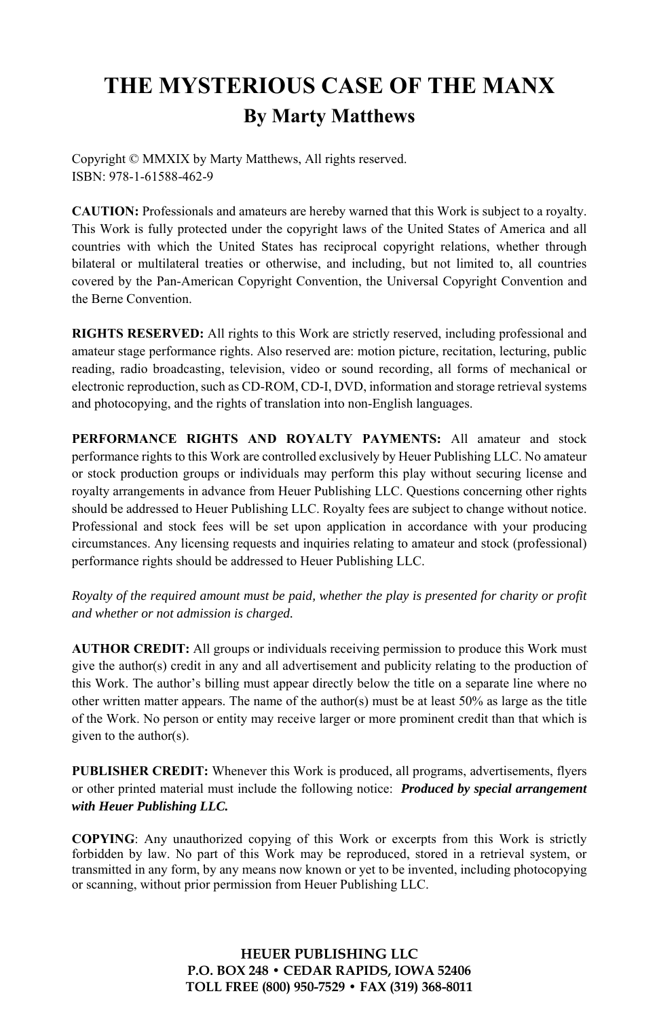# **THE MYSTERIOUS CASE OF THE MANX By Marty Matthews**

Copyright © MMXIX by Marty Matthews, All rights reserved. ISBN: 978-1-61588-462-9

**CAUTION:** Professionals and amateurs are hereby warned that this Work is subject to a royalty. This Work is fully protected under the copyright laws of the United States of America and all countries with which the United States has reciprocal copyright relations, whether through bilateral or multilateral treaties or otherwise, and including, but not limited to, all countries covered by the Pan-American Copyright Convention, the Universal Copyright Convention and the Berne Convention.

**RIGHTS RESERVED:** All rights to this Work are strictly reserved, including professional and amateur stage performance rights. Also reserved are: motion picture, recitation, lecturing, public reading, radio broadcasting, television, video or sound recording, all forms of mechanical or electronic reproduction, such as CD-ROM, CD-I, DVD, information and storage retrieval systems and photocopying, and the rights of translation into non-English languages.

**PERFORMANCE RIGHTS AND ROYALTY PAYMENTS:** All amateur and stock performance rights to this Work are controlled exclusively by Heuer Publishing LLC. No amateur or stock production groups or individuals may perform this play without securing license and royalty arrangements in advance from Heuer Publishing LLC. Questions concerning other rights should be addressed to Heuer Publishing LLC. Royalty fees are subject to change without notice. Professional and stock fees will be set upon application in accordance with your producing circumstances. Any licensing requests and inquiries relating to amateur and stock (professional) performance rights should be addressed to Heuer Publishing LLC.

*Royalty of the required amount must be paid, whether the play is presented for charity or profit and whether or not admission is charged.* 

**AUTHOR CREDIT:** All groups or individuals receiving permission to produce this Work must give the author(s) credit in any and all advertisement and publicity relating to the production of this Work. The author's billing must appear directly below the title on a separate line where no other written matter appears. The name of the author(s) must be at least  $50\%$  as large as the title of the Work. No person or entity may receive larger or more prominent credit than that which is given to the author(s).

**PUBLISHER CREDIT:** Whenever this Work is produced, all programs, advertisements, flyers or other printed material must include the following notice: *Produced by special arrangement with Heuer Publishing LLC.*

**COPYING**: Any unauthorized copying of this Work or excerpts from this Work is strictly forbidden by law. No part of this Work may be reproduced, stored in a retrieval system, or transmitted in any form, by any means now known or yet to be invented, including photocopying or scanning, without prior permission from Heuer Publishing LLC.

> **HEUER PUBLISHING LLC P.O. BOX 248 • CEDAR RAPIDS, IOWA 52406 TOLL FREE (800) 950-7529 • FAX (319) 368-8011**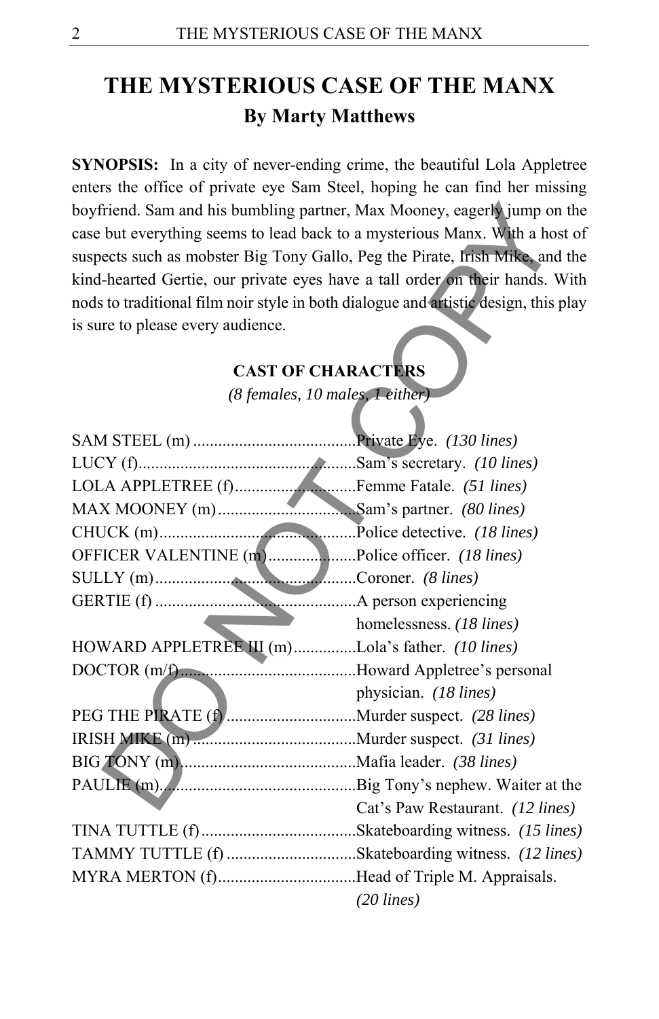# **THE MYSTERIOUS CASE OF THE MANX By Marty Matthews**

**SYNOPSIS:** In a city of never-ending crime, the beautiful Lola Appletree enters the office of private eye Sam Steel, hoping he can find her missing boyfriend. Sam and his bumbling partner, Max Mooney, eagerly jump on the case but everything seems to lead back to a mysterious Manx. With a host of suspects such as mobster Big Tony Gallo, Peg the Pirate, Irish Mike, and the kind-hearted Gertie, our private eyes have a tall order on their hands. With nods to traditional film noir style in both dialogue and artistic design, this play is sure to please every audience.

#### **CAST OF CHARACTERS**

| boyfriend. Sam and his bumbling partner, Max Mooney, eagerly jump on the            |                                  |
|-------------------------------------------------------------------------------------|----------------------------------|
| case but everything seems to lead back to a mysterious Manx. With a host of         |                                  |
| suspects such as mobster Big Tony Gallo, Peg the Pirate, Irish Mike, and the        |                                  |
| kind-hearted Gertie, our private eyes have a tall order on their hands. With        |                                  |
| nods to traditional film noir style in both dialogue and artistic design, this play |                                  |
| is sure to please every audience.                                                   |                                  |
|                                                                                     |                                  |
|                                                                                     | <b>CAST OF CHARACTERS</b>        |
|                                                                                     | (8 females, 10 males, 1 either)  |
|                                                                                     |                                  |
|                                                                                     |                                  |
|                                                                                     |                                  |
|                                                                                     |                                  |
|                                                                                     |                                  |
|                                                                                     |                                  |
| OFFICER VALENTINE (m) Police officer. (18 lines)                                    |                                  |
|                                                                                     |                                  |
|                                                                                     |                                  |
|                                                                                     | homelessness. (18 lines)         |
| HOWARD APPLETREE III (m)Lola's father. (10 lines)                                   |                                  |
|                                                                                     |                                  |
|                                                                                     | physician. (18 lines)            |
|                                                                                     |                                  |
|                                                                                     |                                  |
|                                                                                     |                                  |
|                                                                                     |                                  |
|                                                                                     | Cat's Paw Restaurant. (12 lines) |
|                                                                                     |                                  |
| TAMMY TUTTLE (f) Skateboarding witness. (12 lines)                                  |                                  |
| MYRA MERTON (f)Head of Triple M. Appraisals.                                        |                                  |
|                                                                                     | $(20$ lines)                     |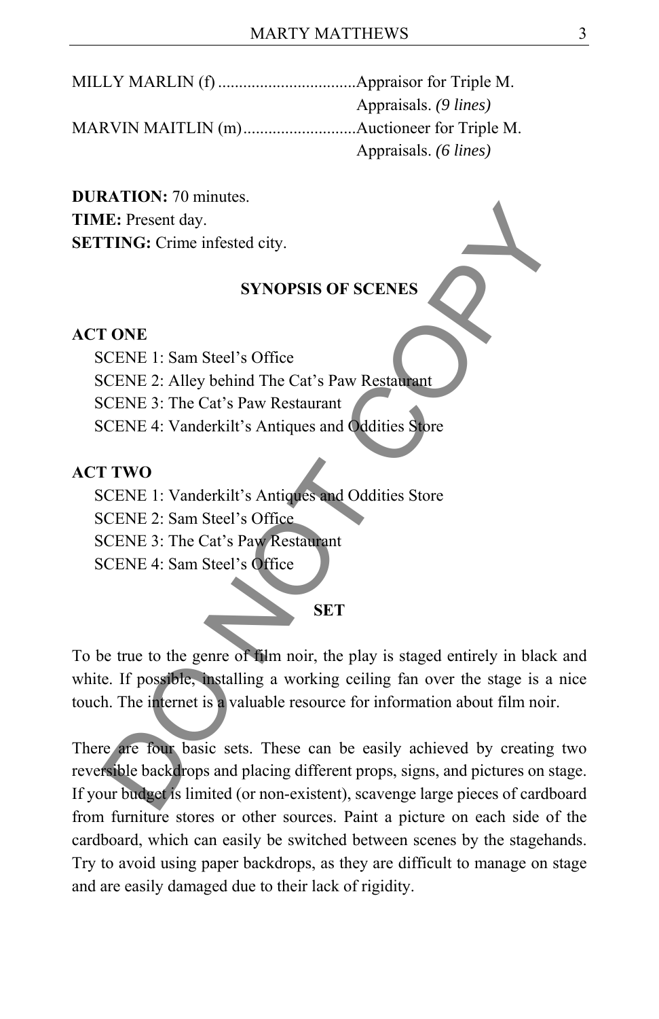MILLY MARLIN (f) .................................Appraisor for Triple M. Appraisals. *(9 lines)*  MARVIN MAITLIN (m) ...........................Auctioneer for Triple M. Appraisals. *(6 lines)* 

**DURATION:** 70 minutes. **TIME:** Present day. **SETTING:** Crime infested city.

#### **SYNOPSIS OF SCENES**

#### **ACT ONE**

SCENE 1: Sam Steel's Office

SCENE 2: Alley behind The Cat's Paw Restaurant

SCENE 3: The Cat's Paw Restaurant

SCENE 4: Vanderkilt's Antiques and Oddities Store

#### **ACT TWO**

 SCENE 1: Vanderkilt's Antiques and Oddities Store SCENE 2: Sam Steel's Office SCENE 3: The Cat's Paw Restaurant SCENE 4: Sam Steel's Office

**SET** 

To be true to the genre of film noir, the play is staged entirely in black and white. If possible, installing a working ceiling fan over the stage is a nice touch. The internet is a valuable resource for information about film noir.

There are four basic sets. These can be easily achieved by creating two reversible backdrops and placing different props, signs, and pictures on stage. If your budget is limited (or non-existent), scavenge large pieces of cardboard from furniture stores or other sources. Paint a picture on each side of the cardboard, which can easily be switched between scenes by the stagehands. Try to avoid using paper backdrops, as they are difficult to manage on stage and are easily damaged due to their lack of rigidity. F. Present day.<br>
F. Present day.<br>
SYNOPSIS OF SCENES<br>
CENE 1: Sam Steel's Office<br>
CCENE 1: Sam Steel's Office<br>
CCENE 3: The Cat's Paw Restaurant<br>
CCENE 4: Vanderkilt's Antiques and Oddities Store<br>
TWO<br>
CCENE 1: Vanderkilt'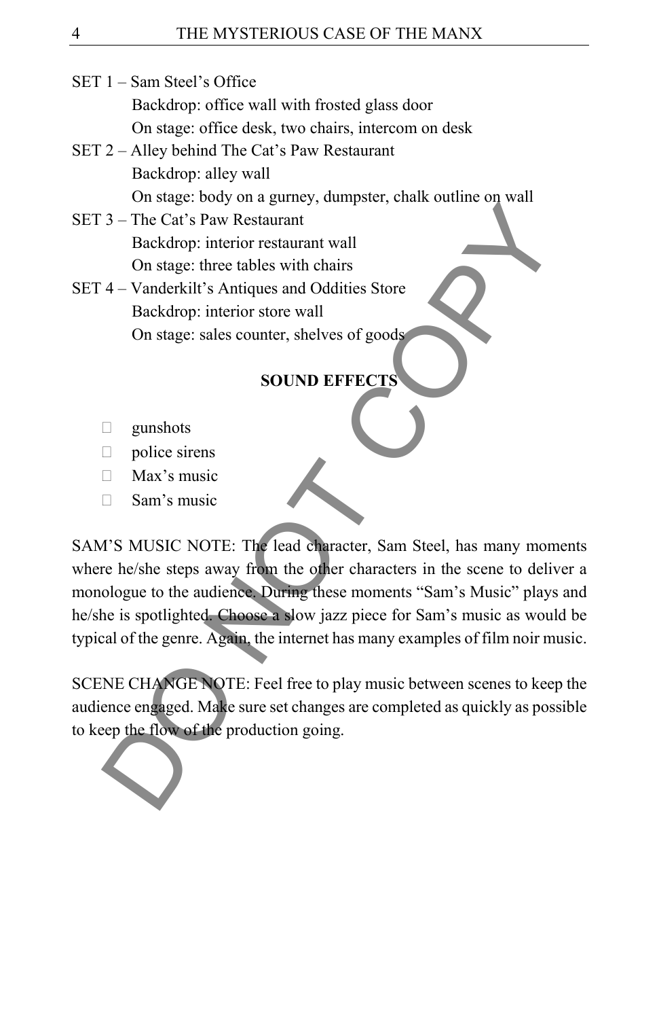- SET 1 Sam Steel's Office Backdrop: office wall with frosted glass door On stage: office desk, two chairs, intercom on desk
- SET 2 Alley behind The Cat's Paw Restaurant Backdrop: alley wall On stage: body on a gurney, dumpster, chalk outline on wall
- SET 3 The Cat's Paw Restaurant Backdrop: interior restaurant wall On stage: three tables with chairs
- SET 4 Vanderkilt's Antiques and Oddities Store Backdrop: interior store wall On stage: sales counter, shelves of goods

# **SOUND EFFECTS**

- gunshots
- police sirens
- $\Box$  Max's music
- $\Box$  Sam's music

SAM'S MUSIC NOTE: The lead character, Sam Steel, has many moments where he/she steps away from the other characters in the scene to deliver a monologue to the audience. During these moments "Sam's Music" plays and he/she is spotlighted. Choose a slow jazz piece for Sam's music as would be typical of the genre. Again, the internet has many examples of film noir music. 3 - The Cat's Paw Restaurant<br>
Backdrop: interior restaurant<br>
Backdrop: interior restaurant<br>
Backdrop: interior restaurant<br>
don stage: sheet tables with chairs<br>
4 - Vanderkilt's Antiques and Oddities Store<br>
Backdrop: inter

SCENE CHANGE NOTE: Feel free to play music between scenes to keep the audience engaged. Make sure set changes are completed as quickly as possible to keep the flow of the production going.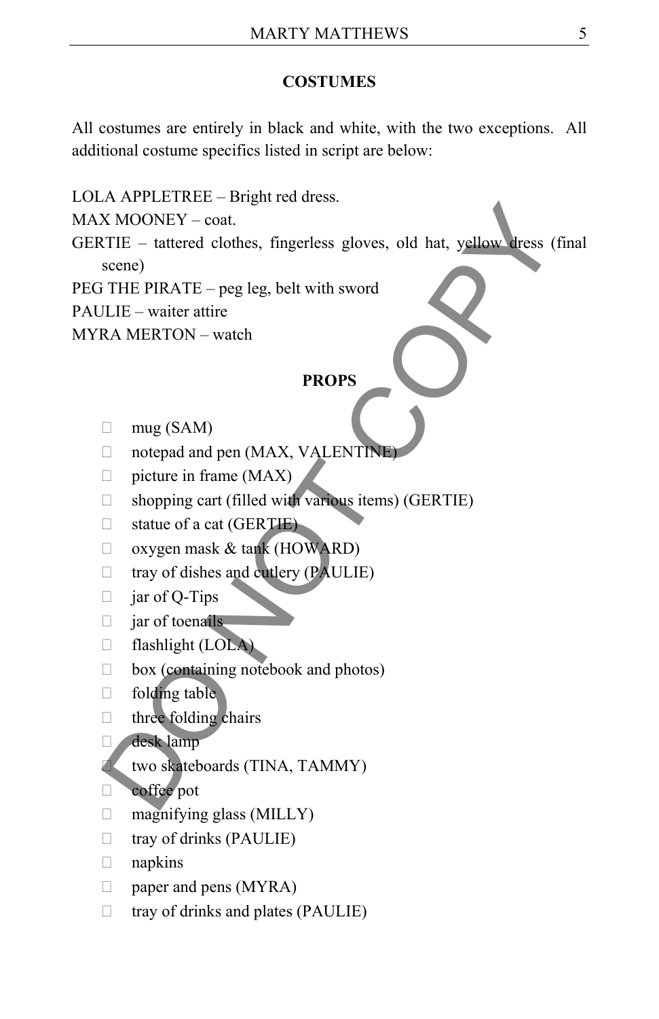### **COSTUMES**

All costumes are entirely in black and white, with the two exceptions. All additional costume specifics listed in script are below:

LOLA APPLETREE – Bright red dress. MAX MOONEY – coat. GERTIE – tattered clothes, fingerless gloves, old hat, yellow dress (final scene) PEG THE PIRATE – peg leg, belt with sword PAULIE – waiter attire MYRA MERTON – watch **PROPS**   $\Box$  mug (SAM) □ notepad and pen (MAX, VALENTINE)  $\Box$  picture in frame (MAX)  $\Box$  shopping cart (filled with various items) (GERTIE)  $\Box$  statue of a cat (GERTIE)  $\Box$  oxygen mask & tank (HOWARD)  $\Box$  tray of dishes and cutlery (PAULIE)  $\Box$  jar of Q-Tips  $\Box$  jar of toenails flashlight (LOLA)  $\Box$  box (containing notebook and photos)  $\Box$  folding table  $\Box$  three folding chairs desk lamp two skateboards (TINA, TAMMY) coffee pot  $\Box$  magnifying glass (MILLY)  $\Box$  tray of drinks (PAULIE) napkins  $\Box$  paper and pens (MYRA) X MOONEY – coat.<br>
X MOONEY – coat.<br>
THE – tattered clothes, fingerless gloves, old hat, yellow dress (<br>
scene)<br>
THE PIRATE – peg leg, belt with sword<br>
LLE – waiter attire<br>
RA MERTON – watch<br>
<br>
PROPS<br>
<br>
<br>

 $\Box$  tray of drinks and plates (PAULIE)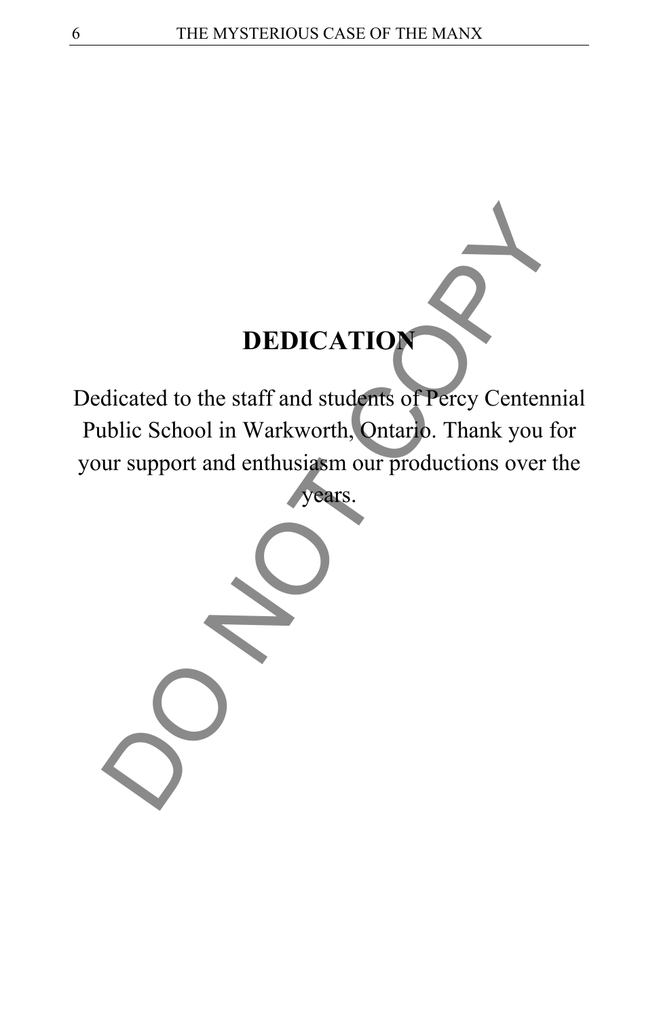

Dedicated to the staff and students of Percy Centennial Public School in Warkworth, Ontario. Thank you for your support and enthusiasm our productions over the

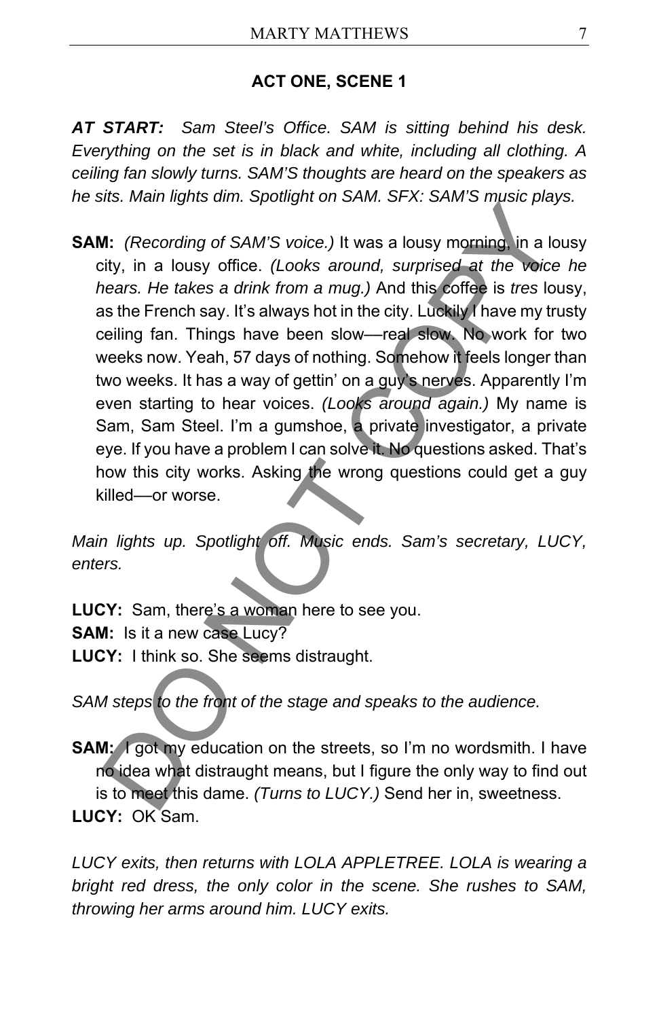### **ACT ONE, SCENE 1**

*AT START: Sam Steel's Office. SAM is sitting behind his desk. Everything on the set is in black and white, including all clothing. A ceiling fan slowly turns. SAM'S thoughts are heard on the speakers as he sits. Main lights dim. Spotlight on SAM. SFX: SAM'S music plays.* 

**SAM:** *(Recording of SAM'S voice.)* It was a lousy morning, in a lousy city, in a lousy office. *(Looks around, surprised at the voice he hears. He takes a drink from a mug.)* And this coffee is *tres* lousy, as the French say. It's always hot in the city. Luckily I have my trusty ceiling fan. Things have been slow––real slow. No work for two weeks now. Yeah, 57 days of nothing. Somehow it feels longer than two weeks. It has a way of gettin' on a guy's nerves. Apparently I'm even starting to hear voices. *(Looks around again.)* My name is Sam, Sam Steel. I'm a gumshoe, a private investigator, a private eye. If you have a problem I can solve it. No questions asked. That's how this city works. Asking the wrong questions could get a guy killed––or worse. Me. Than hydrogent of the Share of No. 5 hinto the shade plugits of the state of the state of the state of the state of the state of the state of the state of the state of the state of the state of the state of the state o

*Main lights up. Spotlight off. Music ends. Sam's secretary, LUCY, enters.* 

**LUCY:** Sam, there's a woman here to see you. **SAM:** Is it a new case Lucy? **LUCY:** I think so. She seems distraught.

*SAM steps to the front of the stage and speaks to the audience.* 

**SAM:** I got my education on the streets, so I'm no wordsmith. I have no idea what distraught means, but I figure the only way to find out is to meet this dame. *(Turns to LUCY.)* Send her in, sweetness. **LUCY:** OK Sam.

*LUCY exits, then returns with LOLA APPLETREE. LOLA is wearing a bright red dress, the only color in the scene. She rushes to SAM, throwing her arms around him. LUCY exits.*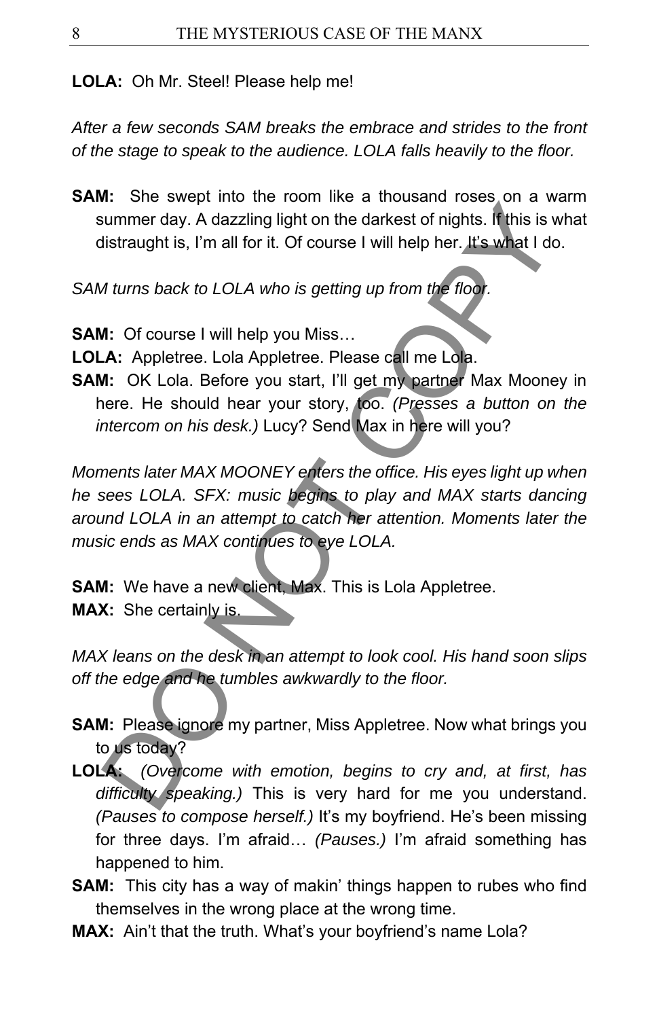**LOLA:** Oh Mr. Steel! Please help me!

*After a few seconds SAM breaks the embrace and strides to the front of the stage to speak to the audience. LOLA falls heavily to the floor.* 

**SAM:** She swept into the room like a thousand roses on a warm summer day. A dazzling light on the darkest of nights. If this is what distraught is, I'm all for it. Of course I will help her. It's what I do.

*SAM turns back to LOLA who is getting up from the floor.* 

**SAM:** Of course I will help you Miss…

**LOLA:** Appletree. Lola Appletree. Please call me Lola.

**SAM:** OK Lola. Before you start, I'll get my partner Max Mooney in here. He should hear your story, too. *(Presses a button on the intercom on his desk.)* Lucy? Send Max in here will you?

*Moments later MAX MOONEY enters the office. His eyes light up when he sees LOLA. SFX: music begins to play and MAX starts dancing around LOLA in an attempt to catch her attention. Moments later the music ends as MAX continues to eye LOLA.*  in the direct way in the direct state of rights. If this is v<br>summer day. A dazzling light on the darkest of rights. If this is v<br>istraught is, I'm all for it. Of course I will help her, It's what I do<br>*Mums back to LOLA w* 

**SAM:** We have a new client, Max. This is Lola Appletree. **MAX:** She certainly is.

*MAX leans on the desk in an attempt to look cool. His hand soon slips off the edge and he tumbles awkwardly to the floor.* 

- **SAM:** Please ignore my partner, Miss Appletree. Now what brings you to us today?
- **LOLA:** *(Overcome with emotion, begins to cry and, at first, has difficulty speaking.)* This is very hard for me you understand. *(Pauses to compose herself.)* It's my boyfriend. He's been missing for three days. I'm afraid… *(Pauses.)* I'm afraid something has happened to him.
- **SAM:** This city has a way of makin' things happen to rubes who find themselves in the wrong place at the wrong time.
- **MAX:** Ain't that the truth. What's your boyfriend's name Lola?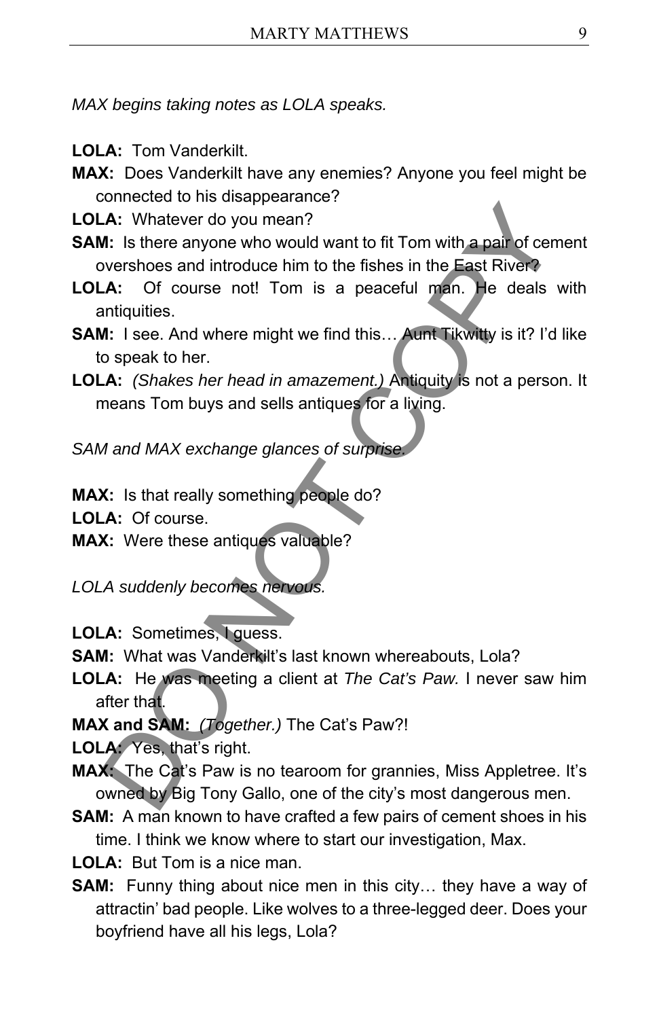*MAX begins taking notes as LOLA speaks.* 

- **LOLA:** Tom Vanderkilt.
- **MAX:** Does Vanderkilt have any enemies? Anyone you feel might be connected to his disappearance?
- **LOLA:** Whatever do you mean?
- **SAM:** Is there anyone who would want to fit Tom with a pair of cement overshoes and introduce him to the fishes in the East River?
- **LOLA:** Of course not! Tom is a peaceful man. He deals with antiquities.
- **SAM:** I see. And where might we find this... Aunt Tikwitty is it? I'd like to speak to her.
- **LOLA:** *(Shakes her head in amazement.)* Antiquity is not a person. It means Tom buys and sells antiques for a living. A: Whatever do you mean?<br>
A: Whatever do you mean?<br>
A: Shatever do you mean?<br>
C: Is there anyone who would want to fit Tom with a pair of cenvershoes and introduce him to the fishes in the East River?<br>
A: Of course not! To

*SAM and MAX exchange glances of surprise.* 

**MAX:** Is that really something people do?

**LOLA:** Of course.

**MAX:** Were these antiques valuable?

*LOLA suddenly becomes nervous.* 

**LOLA:** Sometimes, I guess.

- **SAM:** What was Vanderkilt's last known whereabouts, Lola?
- **LOLA:** He was meeting a client at *The Cat's Paw.* I never saw him after that.

**MAX and SAM:** *(Together.)* The Cat's Paw?!

**LOLA:** Yes, that's right.

- **MAX:** The Cat's Paw is no tearoom for grannies, Miss Appletree. It's owned by Big Tony Gallo, one of the city's most dangerous men.
- **SAM:** A man known to have crafted a few pairs of cement shoes in his time. I think we know where to start our investigation, Max.
- **LOLA:** But Tom is a nice man.
- **SAM:** Funny thing about nice men in this city… they have a way of attractin' bad people. Like wolves to a three-legged deer. Does your boyfriend have all his legs, Lola?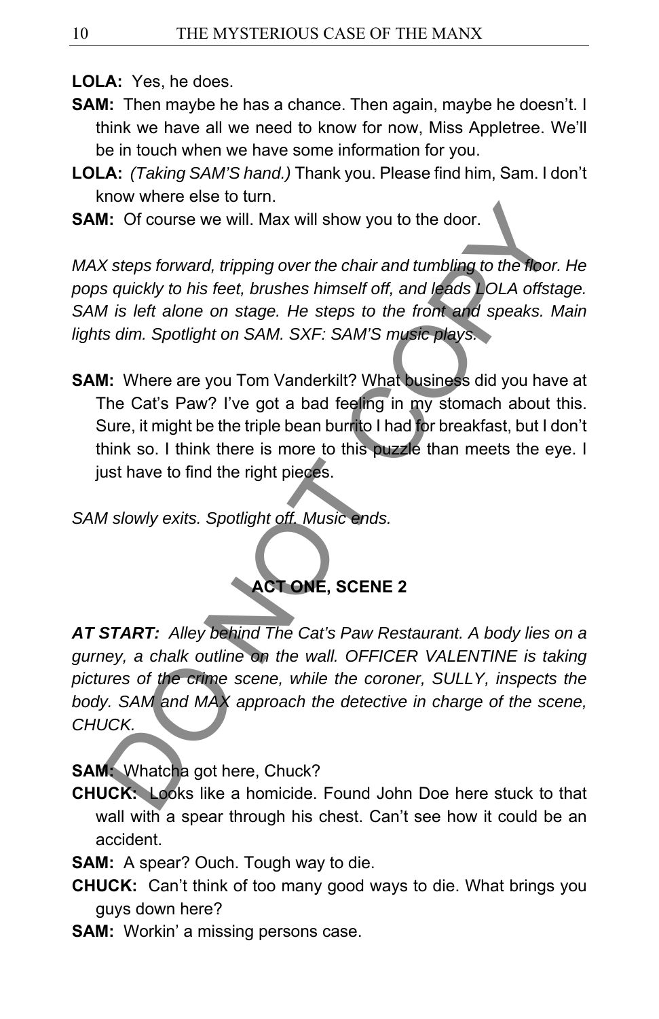**LOLA:** Yes, he does.

- **SAM:** Then maybe he has a chance. Then again, maybe he doesn't. I think we have all we need to know for now, Miss Appletree. We'll be in touch when we have some information for you.
- **LOLA:** *(Taking SAM'S hand.)* Thank you. Please find him, Sam. I don't know where else to turn.
- **SAM:** Of course we will. Max will show you to the door.

*MAX steps forward, tripping over the chair and tumbling to the floor. He pops quickly to his feet, brushes himself off, and leads LOLA offstage. SAM is left alone on stage. He steps to the front and speaks. Main lights dim. Spotlight on SAM. SXF: SAM'S music plays.* 

**SAM:** Where are you Tom Vanderkilt? What business did you have at The Cat's Paw? I've got a bad feeling in my stomach about this. Sure, it might be the triple bean burrito I had for breakfast, but I don't think so. I think there is more to this puzzle than meets the eye. I just have to find the right pieces.

*SAM slowly exits. Spotlight off. Music ends.* 



*AT START: Alley behind The Cat's Paw Restaurant. A body lies on a gurney, a chalk outline on the wall. OFFICER VALENTINE is taking pictures of the crime scene, while the coroner, SULLY, inspects the body. SAM and MAX approach the detective in charge of the scene, CHUCK.*  Also Order to the doctrine and turnbling to the door.<br>
Also Orcurse we will. Max will show you to the door.<br>
Steps forward, tripping over the chair and turnbling to the floor<br>
squickly to his feet, brushes himself off, and

**SAM:** Whatcha got here, Chuck?

**CHUCK:** Looks like a homicide. Found John Doe here stuck to that wall with a spear through his chest. Can't see how it could be an accident.

**SAM:** A spear? Ouch. Tough way to die.

- **CHUCK:** Can't think of too many good ways to die. What brings you guys down here?
- **SAM:** Workin' a missing persons case.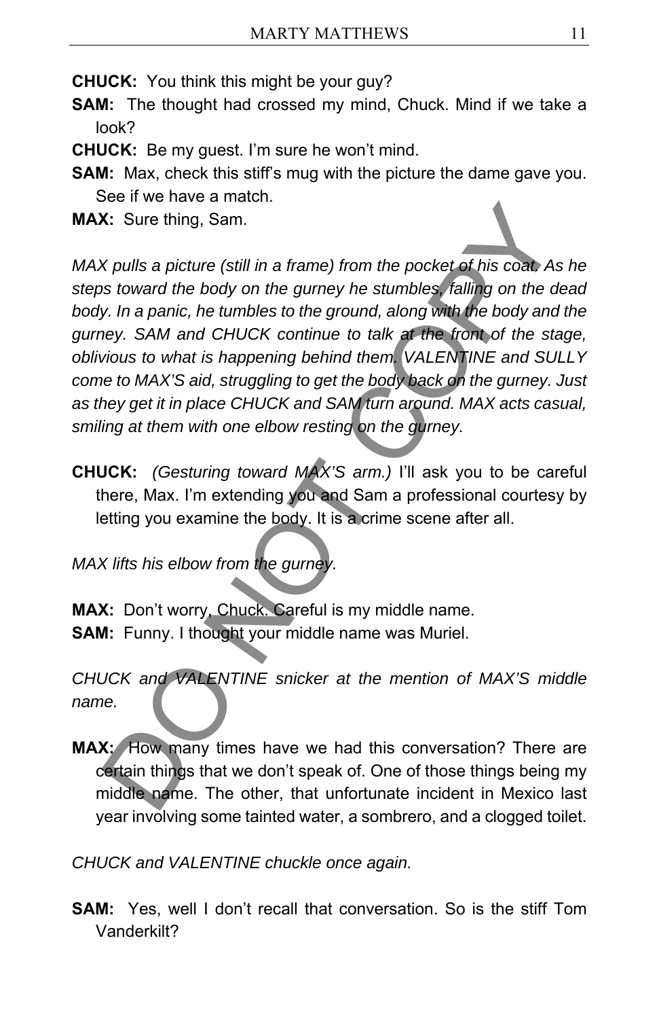**CHUCK:** You think this might be your guy?

- **SAM:** The thought had crossed my mind, Chuck. Mind if we take a look?
- **CHUCK:** Be my guest. I'm sure he won't mind.
- **SAM:** Max, check this stiff's mug with the picture the dame gave you. See if we have a match.

**MAX:** Sure thing, Sam.

*MAX pulls a picture (still in a frame) from the pocket of his coat. As he steps toward the body on the gurney he stumbles, falling on the dead*  body. In a panic, he tumbles to the ground, along with the body and the *gurney. SAM and CHUCK continue to talk at the front of the stage, oblivious to what is happening behind them. VALENTINE and SULLY come to MAX'S aid, struggling to get the body back on the gurney. Just as they get it in place CHUCK and SAM turn around. MAX acts casual, smiling at them with one elbow resting on the gurney.*  Solution Same the procedure of this coat Associated Associates that the body on the gumey he stumbles falling on the oney. In a panic, he tumbles of the ground, along with the body and the stumbles falling on the oney. In

**CHUCK:** *(Gesturing toward MAX'S arm.)* I'll ask you to be careful there, Max. I'm extending you and Sam a professional courtesy by letting you examine the body. It is a crime scene after all.

*MAX lifts his elbow from the gurney.* 

**MAX:** Don't worry, Chuck. Careful is my middle name. **SAM:** Funny. I thought your middle name was Muriel.

*CHUCK and VALENTINE snicker at the mention of MAX'S middle name.* 

**MAX:** How many times have we had this conversation? There are certain things that we don't speak of. One of those things being my middle name. The other, that unfortunate incident in Mexico last year involving some tainted water, a sombrero, and a clogged toilet.

*CHUCK and VALENTINE chuckle once again.* 

**SAM:** Yes, well I don't recall that conversation. So is the stiff Tom Vanderkilt?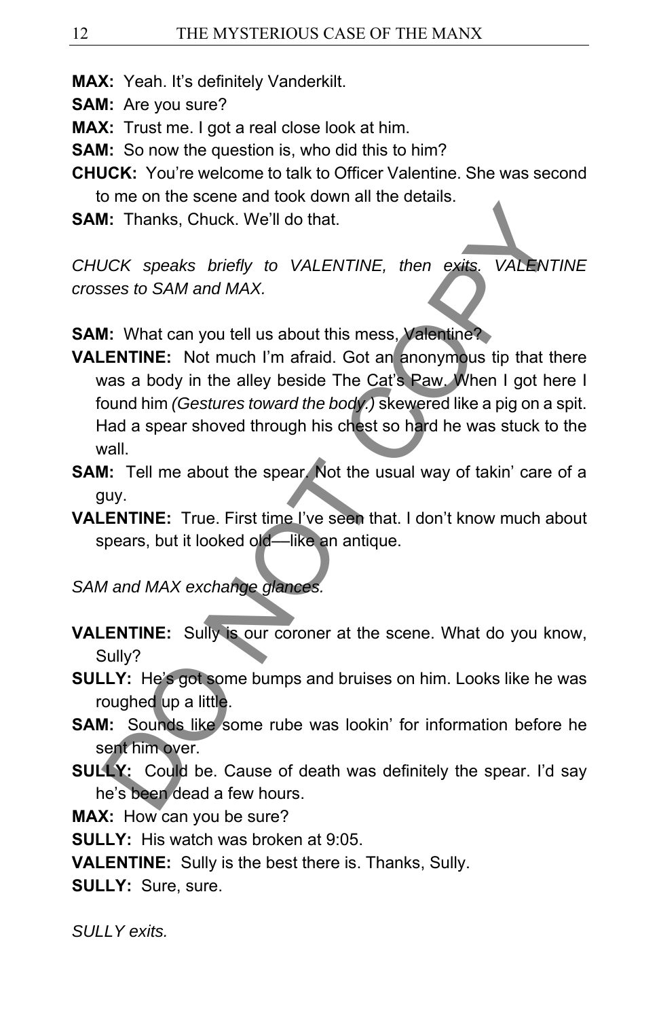- **MAX:** Yeah. It's definitely Vanderkilt.
- **SAM:** Are you sure?
- **MAX:** Trust me. I got a real close look at him.
- **SAM:** So now the question is, who did this to him?
- **CHUCK:** You're welcome to talk to Officer Valentine. She was second to me on the scene and took down all the details.
- **SAM:** Thanks, Chuck. We'll do that.

*CHUCK speaks briefly to VALENTINE, then exits. VALENTINE crosses to SAM and MAX.* 

**SAM:** What can you tell us about this mess, Valentine?

**VALENTINE:** Not much I'm afraid. Got an anonymous tip that there was a body in the alley beside The Cat's Paw. When I got here I found him *(Gestures toward the body.)* skewered like a pig on a spit. Had a spear shoved through his chest so hard he was stuck to the wall. DO NOT COPY

- **SAM:** Tell me about the spear. Not the usual way of takin' care of a guy.
- **VALENTINE:** True. First time I've seen that. I don't know much about spears, but it looked old—like an antique.

### *SAM and MAX exchange glances.*

- **VALENTINE:** Sully is our coroner at the scene. What do you know, Sully?
- **SULLY:** He's got some bumps and bruises on him. Looks like he was roughed up a little.
- **SAM:** Sounds like some rube was lookin' for information before he sent him over.
- **SULLY:** Could be. Cause of death was definitely the spear. I'd say he's been dead a few hours.

**MAX:** How can you be sure?

**SULLY:** His watch was broken at 9:05.

**VALENTINE:** Sully is the best there is. Thanks, Sully.

**SULLY:** Sure, sure.

*SULLY exits.*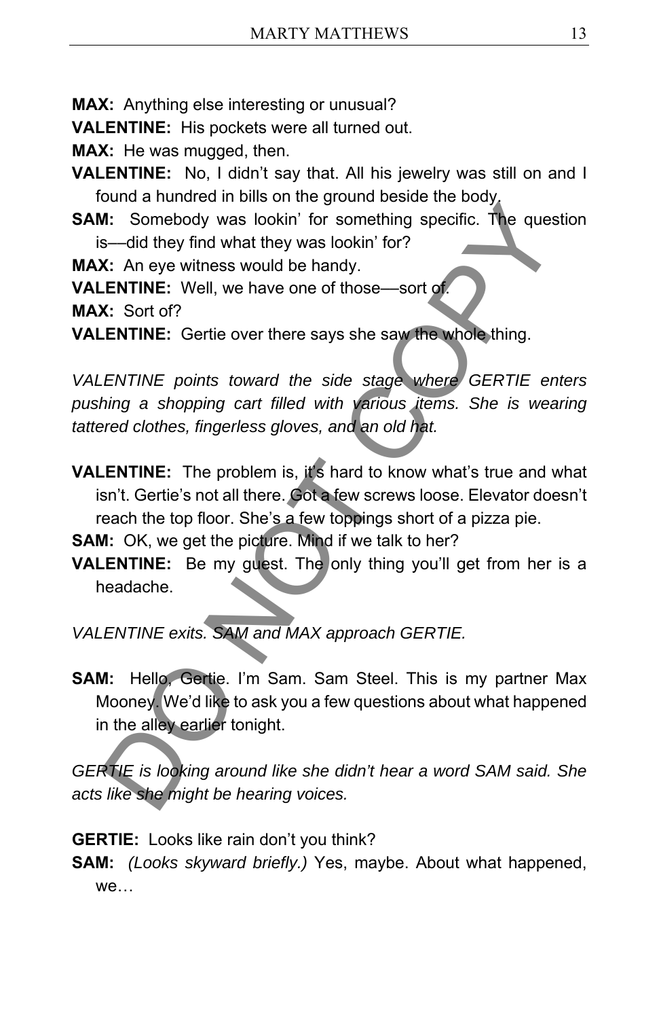**MAX:** Anything else interesting or unusual?

**VALENTINE:** His pockets were all turned out.

**MAX:** He was mugged, then.

**VALENTINE:** No, I didn't say that. All his jewelry was still on and I found a hundred in bills on the ground beside the body.

**SAM:** Somebody was lookin' for something specific. The question is––did they find what they was lookin' for?

**MAX:** An eye witness would be handy.

**VALENTINE:** Well, we have one of those––sort of.

**MAX:** Sort of?

**VALENTINE:** Gertie over there says she saw the whole thing.

*VALENTINE points toward the side stage where GERTIE enters*  pushing a shopping cart filled with various items. She is wearing *tattered clothes, fingerless gloves, and an old hat.* 

**VALENTINE:** The problem is, it's hard to know what's true and what isn't. Gertie's not all there. Got a few screws loose. Elevator doesn't reach the top floor. She's a few toppings short of a pizza pie. **ENTINE:** The problem is the signal bookin' for something specific. The quest-<br>
Somebody was lookin' for something specific. The quest-<br>
Somebody was lookin' for something specific. The quest-<br> **X:** Sort of?<br> **X:** Sort of?

**SAM:** OK, we get the picture. Mind if we talk to her?

**VALENTINE:** Be my guest. The only thing you'll get from her is a headache.

*VALENTINE exits. SAM and MAX approach GERTIE.* 

**SAM:** Hello, Gertie. I'm Sam. Sam Steel. This is my partner Max Mooney. We'd like to ask you a few questions about what happened in the alley earlier tonight.

*GERTIE is looking around like she didn't hear a word SAM said. She acts like she might be hearing voices.* 

**GERTIE:** Looks like rain don't you think?

**SAM:** *(Looks skyward briefly.)* Yes, maybe. About what happened, we…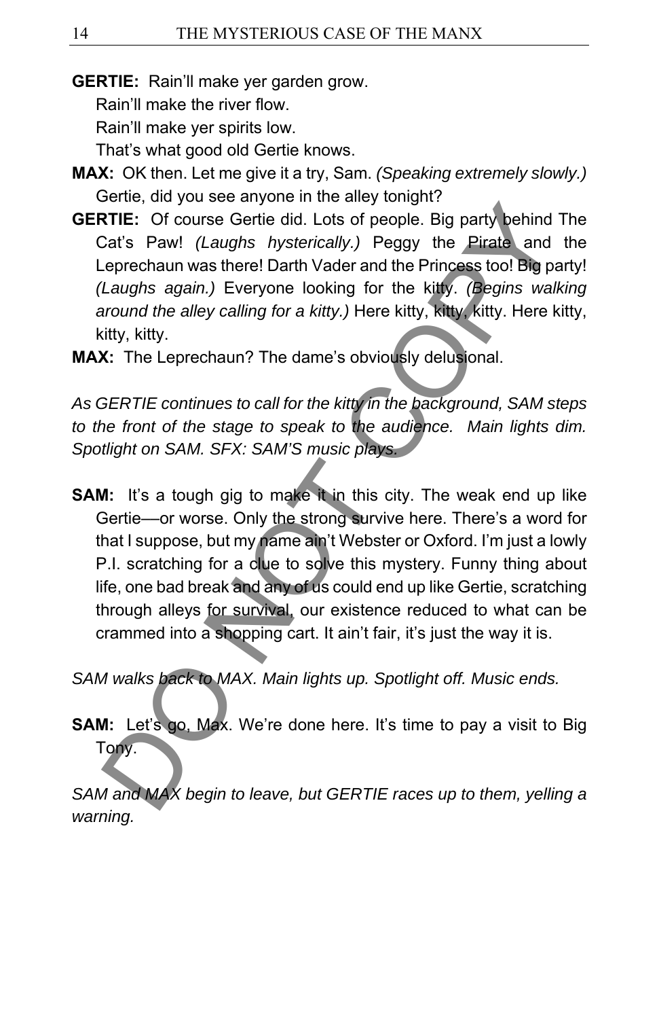**GERTIE:** Rain'll make yer garden grow.

Rain'll make the river flow.

Rain'll make yer spirits low.

That's what good old Gertie knows.

- **MAX:** OK then. Let me give it a try, Sam. *(Speaking extremely slowly.)* Gertie, did you see anyone in the alley tonight?
- **GERTIE:** Of course Gertie did. Lots of people. Big party behind The Cat's Paw! *(Laughs hysterically.)* Peggy the Pirate and the Leprechaun was there! Darth Vader and the Princess too! Big party! *(Laughs again.)* Everyone looking for the kitty. *(Begins walking around the alley calling for a kitty.)* Here kitty, kitty, kitty. Here kitty, kitty, kitty.
- **MAX:** The Leprechaun? The dame's obviously delusional.

*As GERTIE continues to call for the kitty in the background, SAM steps to the front of the stage to speak to the audience. Main lights dim. Spotlight on SAM. SFX: SAM'S music plays.* 

**SAM:** It's a tough gig to make it in this city. The weak end up like Gertie––or worse. Only the strong survive here. There's a word for that I suppose, but my name ain't Webster or Oxford. I'm just a lowly P.I. scratching for a clue to solve this mystery. Funny thing about life, one bad break and any of us could end up like Gertie, scratching through alleys for survival, our existence reduced to what can be crammed into a shopping cart. It ain't fair, it's just the way it is. STIE: Of course Gertie did. Lots of people. Big party behind Cat's Paw! (Laughs hysterically.) Peggy the Pirate and eprechaun was there! Darth Vader and the Princess too! Big party and eprechaun was there! Darth Vader and

*SAM walks back to MAX. Main lights up. Spotlight off. Music ends.* 

**SAM:** Let's go, Max. We're done here. It's time to pay a visit to Big Tony.

*SAM and MAX begin to leave, but GERTIE races up to them, yelling a warning.*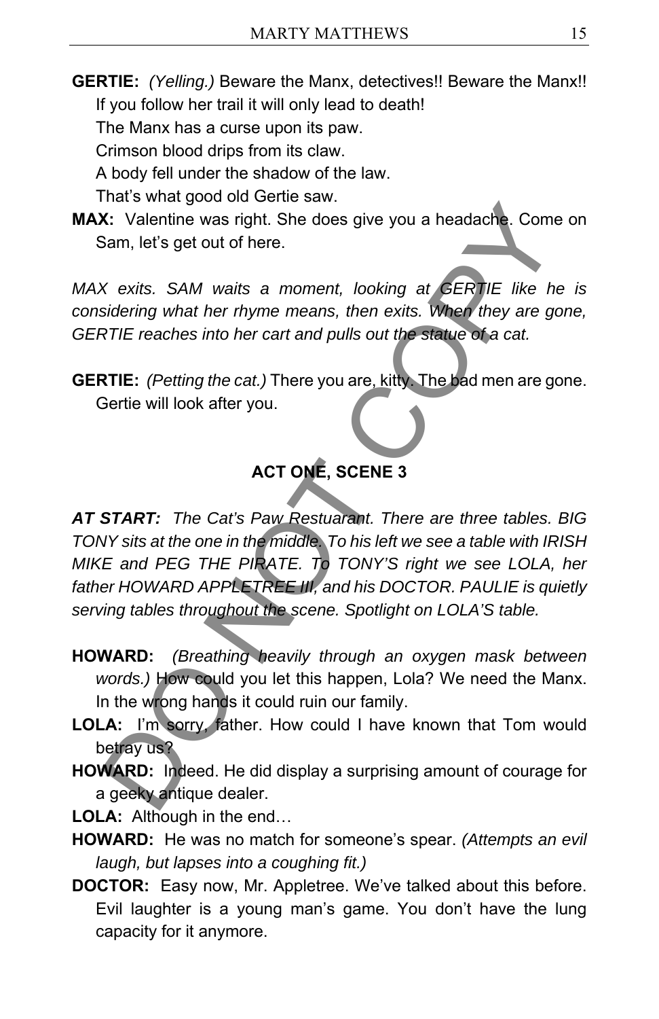**GERTIE:** *(Yelling.)* Beware the Manx, detectives!! Beware the Manx!! If you follow her trail it will only lead to death!

The Manx has a curse upon its paw.

Crimson blood drips from its claw.

A body fell under the shadow of the law.

That's what good old Gertie saw.

**MAX:** Valentine was right. She does give you a headache. Come on Sam, let's get out of here.

*MAX exits. SAM waits a moment, looking at GERTIE like he is considering what her rhyme means, then exits. When they are gone, GERTIE reaches into her cart and pulls out the statue of a cat.* 

**GERTIE:** *(Petting the cat.)* There you are, kitty. The bad men are gone. Gertie will look after you.

# **ACT ONE, SCENE 3**

*AT START: The Cat's Paw Restuarant. There are three tables. BIG TONY sits at the one in the middle. To his left we see a table with IRISH MIKE and PEG THE PIRATE. To TONY'S right we see LOLA, her father HOWARD APPLETREE III, and his DOCTOR. PAULIE is quietly serving tables throughout the scene. Spotlight on LOLA'S table.*  We words. The cart is the distance of a care in the Medicinal State Comes Contain, let's get out of here.<br>
Statistic SAM waits a moment, looking at SERTIE like his density that her rhymne means, then exits. When they are g

- **HOWARD:** *(Breathing heavily through an oxygen mask between words.)* How could you let this happen, Lola? We need the Manx. In the wrong hands it could ruin our family.
- **LOLA:** I'm sorry, father. How could I have known that Tom would betray us?
- **HOWARD:** Indeed. He did display a surprising amount of courage for a geeky antique dealer.
- **LOLA:** Although in the end…
- **HOWARD:** He was no match for someone's spear. *(Attempts an evil laugh, but lapses into a coughing fit.)*
- **DOCTOR:** Easy now, Mr. Appletree. We've talked about this before. Evil laughter is a young man's game. You don't have the lung capacity for it anymore.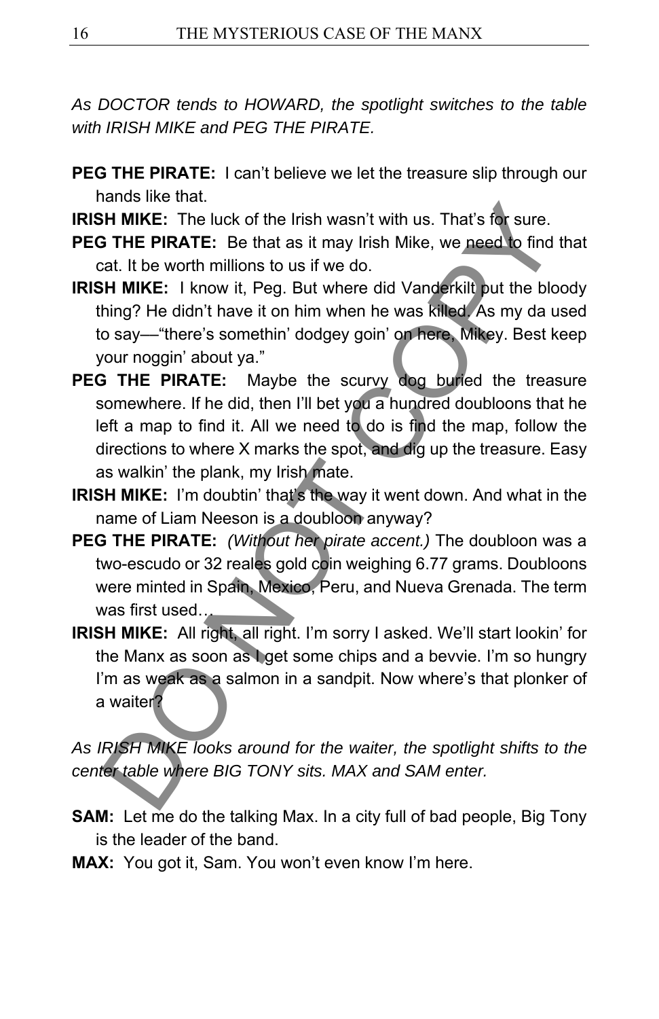*As DOCTOR tends to HOWARD, the spotlight switches to the table with IRISH MIKE and PEG THE PIRATE.* 

- **PEG THE PIRATE:** I can't believe we let the treasure slip through our hands like that.
- **IRISH MIKE:** The luck of the Irish wasn't with us. That's for sure.
- **PEG THE PIRATE:** Be that as it may Irish Mike, we need to find that cat. It be worth millions to us if we do.
- **IRISH MIKE:** I know it, Peg. But where did Vanderkilt put the bloody thing? He didn't have it on him when he was killed. As my da used to say––"there's somethin' dodgey goin' on here, Mikey. Best keep your noggin' about ya."
- **PEG THE PIRATE:** Maybe the scurvy dog buried the treasure somewhere. If he did, then I'll bet you a hundred doubloons that he left a map to find it. All we need to do is find the map, follow the directions to where X marks the spot, and dig up the treasure. Easy as walkin' the plank, my Irish mate. H. **HIMIKE:** The luck of the Irish wasn't with us. That's for sure.<br> **STHE PIRATE:** Be that as it may Irish Mike, we need to find<br>
tat. It be worth millions to us if we do.<br> **COPY THE PIRATE:** Be that as it may Irish Mike,
- **IRISH MIKE:** I'm doubtin' that's the way it went down. And what in the name of Liam Neeson is a doubloon anyway?
- **PEG THE PIRATE:** *(Without her pirate accent.)* The doubloon was a two-escudo or 32 reales gold coin weighing 6.77 grams. Doubloons were minted in Spain, Mexico, Peru, and Nueva Grenada. The term was first used…
- **IRISH MIKE:** All right, all right. I'm sorry I asked. We'll start lookin' for the Manx as soon as I get some chips and a bevvie. I'm so hungry I'm as weak as a salmon in a sandpit. Now where's that plonker of a waiter?

*As IRISH MIKE looks around for the waiter, the spotlight shifts to the center table where BIG TONY sits. MAX and SAM enter.* 

- **SAM:** Let me do the talking Max. In a city full of bad people, Big Tony is the leader of the band.
- **MAX:** You got it, Sam. You won't even know I'm here.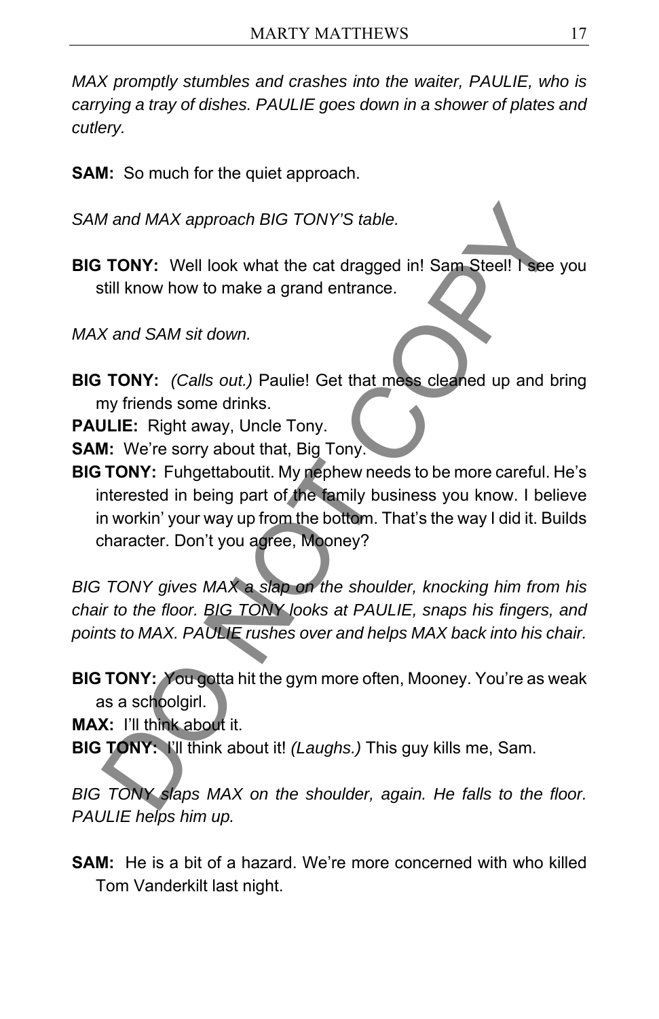*MAX promptly stumbles and crashes into the waiter, PAULIE, who is carrying a tray of dishes. PAULIE goes down in a shower of plates and cutlery.* 

**SAM:** So much for the quiet approach.

*SAM and MAX approach BIG TONY'S table.* 

**BIG TONY:** Well look what the cat dragged in! Sam Steel! I see you still know how to make a grand entrance.

*MAX and SAM sit down.* 

**BIG TONY:** *(Calls out.)* Paulie! Get that mess cleaned up and bring my friends some drinks.

**PAULIE:** Right away, Uncle Tony.

**SAM:** We're sorry about that, Big Tony.

**BIG TONY:** Fuhgettaboutit. My nephew needs to be more careful. He's interested in being part of the family business you know. I believe in workin' your way up from the bottom. That's the way I did it. Builds character. Don't you agree, Mooney? *M* and *MAX* approach *BIG* TONY'S table.<br> **TONY:** Well look what the cat dragged in! Sam Stee!! I see<br>
till know how to make a grand entrance.<br>
X and SAM sit down.<br> **TONY:** (Calls out.) Paulie! Get that mess cleaned up a

*BIG TONY gives MAX a slap on the shoulder, knocking him from his chair to the floor. BIG TONY looks at PAULIE, snaps his fingers, and points to MAX. PAULIE rushes over and helps MAX back into his chair.* 

**BIG TONY:** You gotta hit the gym more often, Mooney. You're as weak as a schoolgirl.

**MAX:** I'll think about it.

**BIG TONY:** I'll think about it! *(Laughs.)* This guy kills me, Sam.

*BIG TONY slaps MAX on the shoulder, again. He falls to the floor. PAULIE helps him up.* 

**SAM:** He is a bit of a hazard. We're more concerned with who killed Tom Vanderkilt last night.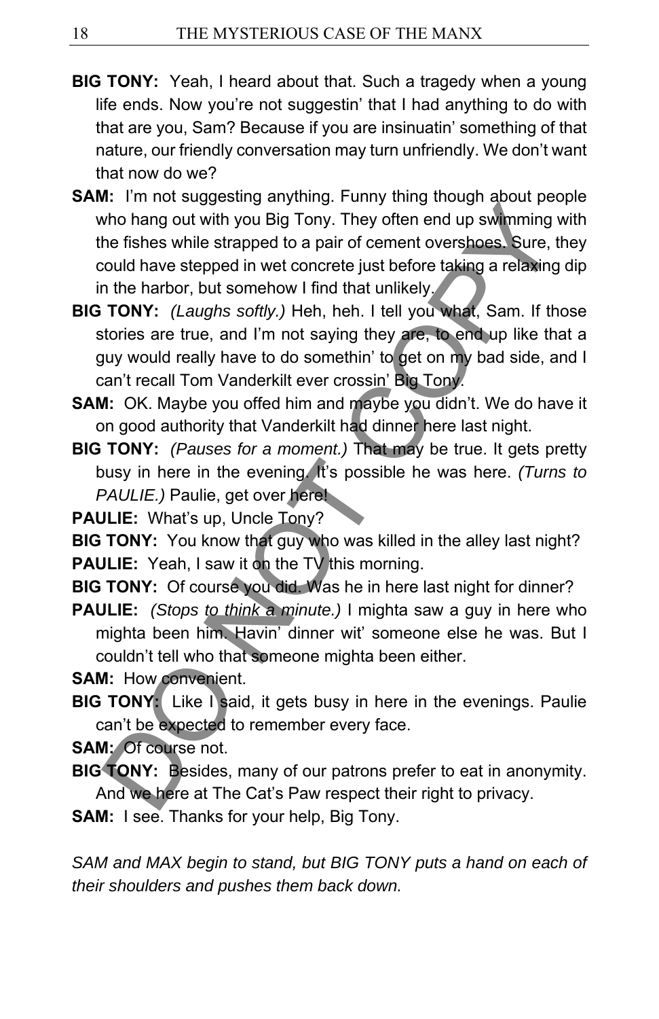- **BIG TONY:** Yeah, I heard about that. Such a tragedy when a young life ends. Now you're not suggestin' that I had anything to do with that are you, Sam? Because if you are insinuatin' something of that nature, our friendly conversation may turn unfriendly. We don't want that now do we?
- **SAM:** I'm not suggesting anything. Funny thing though about people who hang out with you Big Tony. They often end up swimming with the fishes while strapped to a pair of cement overshoes. Sure, they could have stepped in wet concrete just before taking a relaxing dip in the harbor, but somehow I find that unlikely. in the matrices we shall be the evening the shall and twith you Big Tony. They often end up swimming the fishes while strapped to a pair of cement overshoes. Sure, to cold have stepped in wet concrete just before taking a
- **BIG TONY:** *(Laughs softly.)* Heh, heh. I tell you what, Sam. If those stories are true, and I'm not saying they are, to end up like that a guy would really have to do somethin' to get on my bad side, and I can't recall Tom Vanderkilt ever crossin' Big Tony.
- **SAM:** OK. Maybe you offed him and maybe you didn't. We do have it on good authority that Vanderkilt had dinner here last night.
- **BIG TONY:** *(Pauses for a moment.)* That may be true. It gets pretty busy in here in the evening. It's possible he was here. *(Turns to PAULIE.)* Paulie, get over here!

**PAULIE:** What's up, Uncle Tony?

**BIG TONY:** You know that guy who was killed in the alley last night? **PAULIE:** Yeah, I saw it on the TV this morning.

- **BIG TONY:** Of course you did. Was he in here last night for dinner?
- **PAULIE:** *(Stops to think a minute.)* I mighta saw a guy in here who mighta been him. Havin' dinner wit' someone else he was. But I couldn't tell who that someone mighta been either.
- **SAM:** How convenient.
- **BIG TONY:** Like I said, it gets busy in here in the evenings. Paulie can't be expected to remember every face.
- **SAM:** Of course not.
- **BIG TONY:** Besides, many of our patrons prefer to eat in anonymity. And we here at The Cat's Paw respect their right to privacy.
- **SAM:** I see. Thanks for your help, Big Tony.

SAM and MAX begin to stand, but BIG TONY puts a hand on each of *their shoulders and pushes them back down.*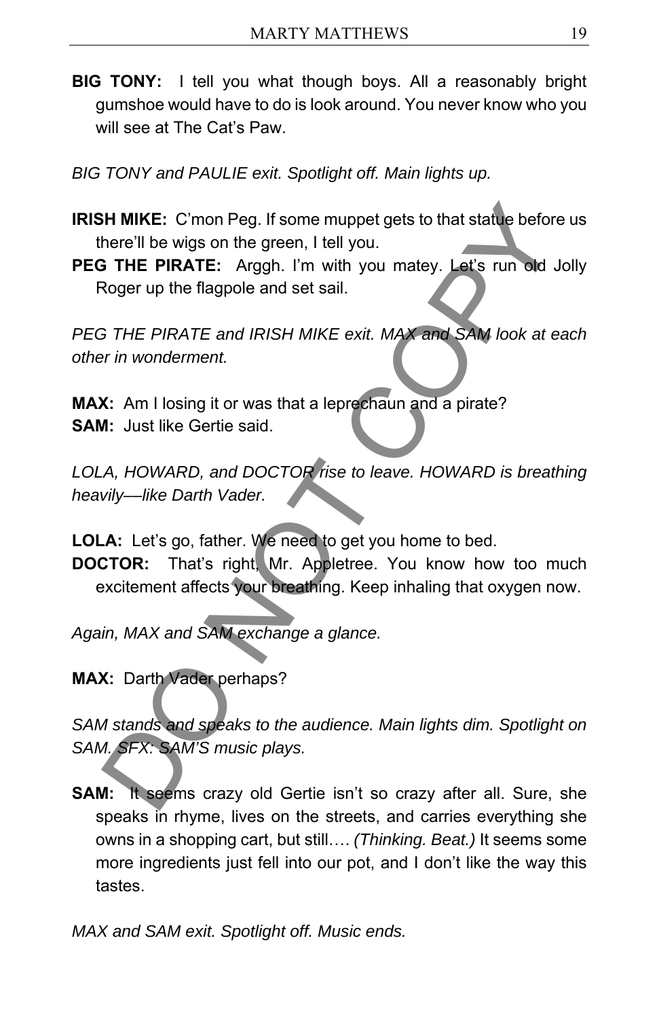- **BIG TONY:** I tell you what though boys. All a reasonably bright gumshoe would have to do is look around. You never know who you will see at The Cat's Paw.
- *BIG TONY and PAULIE exit. Spotlight off. Main lights up.*
- **IRISH MIKE:** C'mon Peg. If some muppet gets to that statue before us there'll be wigs on the green, I tell you.
- **PEG THE PIRATE:** Arggh. I'm with you matey. Let's run old Jolly Roger up the flagpole and set sail.

*PEG THE PIRATE and IRISH MIKE exit. MAX and SAM look at each other in wonderment.*  **EXECT THE PRATE:** Croom Peg. If some muppet gets to that statue before there'll be wigs on the green, I tell you.<br> **EXECT THE PIRATE:** Arggh. I'm with you matey. Let's run old Jonger up the flagpole and set sail.<br>
FITHE P

**MAX:** Am I losing it or was that a leprechaun and a pirate? **SAM:** Just like Gertie said.

*LOLA, HOWARD, and DOCTOR rise to leave. HOWARD is breathing heavily––like Darth Vader.* 

**LOLA:** Let's go, father. We need to get you home to bed.

**DOCTOR:** That's right, Mr. Appletree. You know how too much excitement affects your breathing. Keep inhaling that oxygen now.

*Again, MAX and SAM exchange a glance.* 

**MAX:** Darth Vader perhaps?

*SAM stands and speaks to the audience. Main lights dim. Spotlight on SAM. SFX: SAM'S music plays.* 

**SAM:** It seems crazy old Gertie isn't so crazy after all. Sure, she speaks in rhyme, lives on the streets, and carries everything she owns in a shopping cart, but still…. *(Thinking. Beat.)* It seems some more ingredients just fell into our pot, and I don't like the way this tastes.

*MAX and SAM exit. Spotlight off. Music ends.*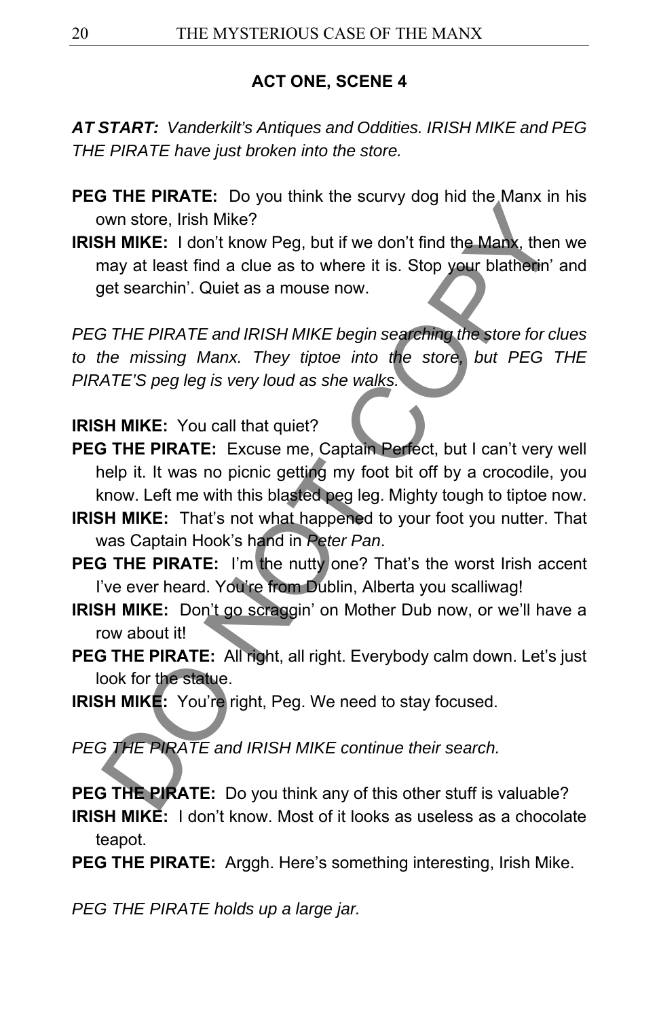### **ACT ONE, SCENE 4**

*AT START: Vanderkilt's Antiques and Oddities. IRISH MIKE and PEG THE PIRATE have just broken into the store.* 

- **PEG THE PIRATE:** Do you think the scurvy dog hid the Manx in his own store, Irish Mike?
- **IRISH MIKE:** I don't know Peg, but if we don't find the Manx, then we may at least find a clue as to where it is. Stop your blatherin' and get searchin'. Quiet as a mouse now. Fried The PIRATE: All right, Peg. We need to stay focused.<br>
THE PIRATE: All right, Peg. We need to stay focused.<br>
THE PIRATE and IRISH MIKE begins searching the store for correction.<br>
THE PIRATE and IRISH MIKE begins searc

*PEG THE PIRATE and IRISH MIKE begin searching the store for clues to the missing Manx. They tiptoe into the store, but PEG THE PIRATE'S peg leg is very loud as she walks.* 

#### **IRISH MIKE:** You call that quiet?

- **PEG THE PIRATE:** Excuse me, Captain Perfect, but I can't very well help it. It was no picnic getting my foot bit off by a crocodile, you know. Left me with this blasted peg leg. Mighty tough to tiptoe now.
- **IRISH MIKE:** That's not what happened to your foot you nutter. That was Captain Hook's hand in *Peter Pan*.
- **PEG THE PIRATE:** I'm the nutty one? That's the worst Irish accent I've ever heard. You're from Dublin, Alberta you scalliwag!
- **IRISH MIKE:** Don't go scraggin' on Mother Dub now, or we'll have a row about it!
- PEG THE PIRATE: All right, all right. Everybody calm down. Let's just look for the statue.
- **IRISH MIKE:** You're right, Peg. We need to stay focused.

*PEG THE PIRATE and IRISH MIKE continue their search.* 

**PEG THE PIRATE:** Do you think any of this other stuff is valuable?

**IRISH MIKE:** I don't know. Most of it looks as useless as a chocolate teapot.

**PEG THE PIRATE:** Arggh. Here's something interesting, Irish Mike.

*PEG THE PIRATE holds up a large jar.*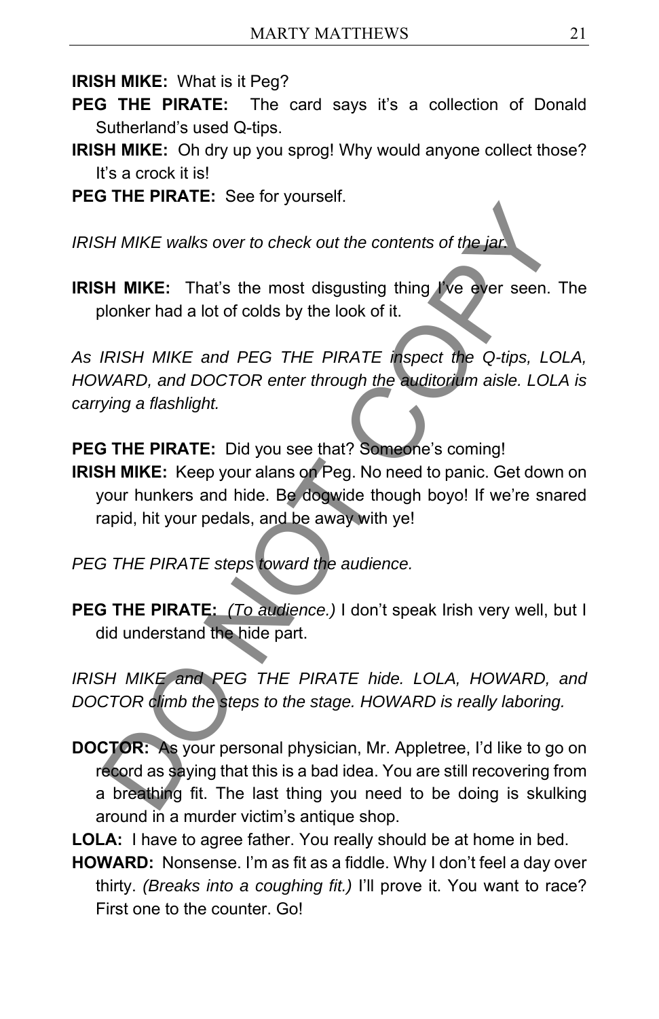**IRISH MIKE:** What is it Peg?

- **PEG THE PIRATE:** The card says it's a collection of Donald Sutherland's used Q-tips.
- **IRISH MIKE:** Oh dry up you sprog! Why would anyone collect those? It's a crock it is!
- **PEG THE PIRATE:** See for yourself.

*IRISH MIKE walks over to check out the contents of the jar.* 

**IRISH MIKE:** That's the most disgusting thing I've ever seen. The plonker had a lot of colds by the look of it.

*As IRISH MIKE and PEG THE PIRATE inspect the Q-tips, LOLA, HOWARD, and DOCTOR enter through the auditorium aisle. LOLA is carrying a flashlight.* 

PEG THE PIRATE: Did you see that? Someone's comina!

**IRISH MIKE:** Keep your alans on Peg. No need to panic. Get down on your hunkers and hide. Be dogwide though boyo! If we're snared rapid, hit your pedals, and be away with ye!

*PEG THE PIRATE steps toward the audience.* 

**PEG THE PIRATE:** *(To audience.)* I don't speak Irish very well, but I did understand the hide part.

*IRISH MIKE and PEG THE PIRATE hide. LOLA, HOWARD, and DOCTOR climb the steps to the stage. HOWARD is really laboring.* 

**DOCTOR:** As your personal physician, Mr. Appletree, I'd like to go on record as saying that this is a bad idea. You are still recovering from a breathing fit. The last thing you need to be doing is skulking around in a murder victim's antique shop. SH MIKE walks over to check out the contents of the jat.<br>
SH MIKE: That's the most disgusting thing I've ever seen.<br>
SH MIKE: That's the most disgusting thing I've ever seen.<br>
Jonker had a lot of colds by the look of it.<br>

**LOLA:** I have to agree father. You really should be at home in bed.

**HOWARD:** Nonsense. I'm as fit as a fiddle. Why I don't feel a day over thirty. *(Breaks into a coughing fit.)* I'll prove it. You want to race? First one to the counter. Go!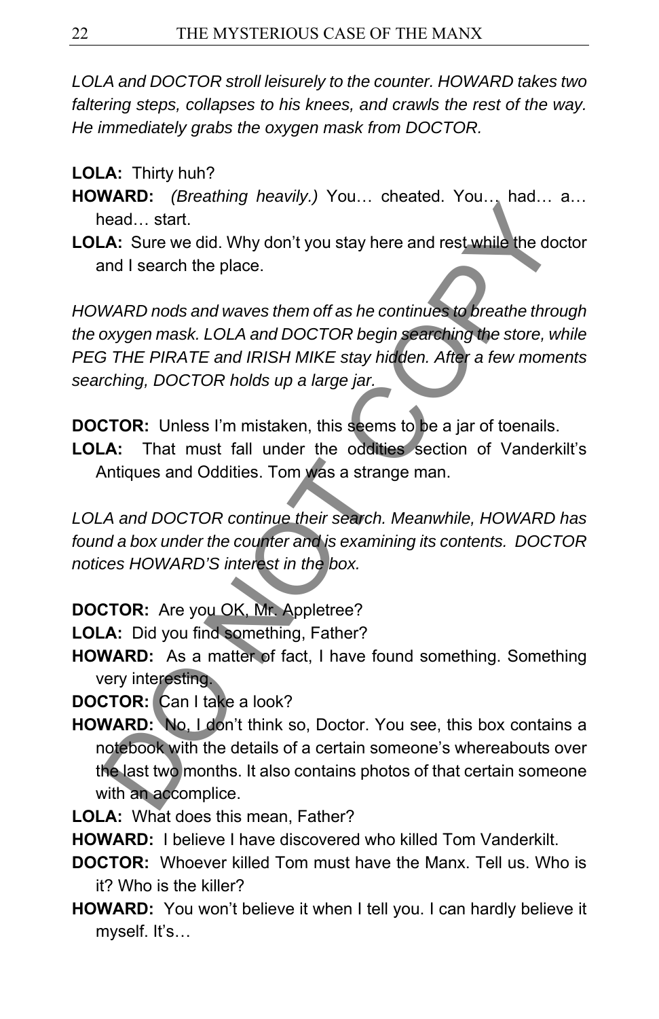*LOLA and DOCTOR stroll leisurely to the counter. HOWARD takes two faltering steps, collapses to his knees, and crawls the rest of the way. He immediately grabs the oxygen mask from DOCTOR.* 

### **LOLA:** Thirty huh?

- **HOWARD:** *(Breathing heavily.)* You… cheated. You… had… a… head… start.
- **LOLA:** Sure we did. Why don't you stay here and rest while the doctor and I search the place.

*HOWARD nods and waves them off as he continues to breathe through the oxygen mask. LOLA and DOCTOR begin searching the store, while PEG THE PIRATE and IRISH MIKE stay hidden. After a few moments searching, DOCTOR holds up a large jar.*  Fractional start.<br>
Head... start.<br>
A. Sure we did. Why don't you stay here and rest while the do<br>
and I search the place.<br>
WARD nods and waves them off as he continues to breathe thro<br>
MARD nods and waves them off as he co

**DOCTOR:** Unless I'm mistaken, this seems to be a jar of toenails.

**LOLA:** That must fall under the oddities section of Vanderkilt's Antiques and Oddities. Tom was a strange man.

*LOLA and DOCTOR continue their search. Meanwhile, HOWARD has found a box under the counter and is examining its contents. DOCTOR notices HOWARD'S interest in the box.* 

## **DOCTOR:** Are you OK, Mr. Appletree?

**LOLA:** Did you find something, Father?

- **HOWARD:** As a matter of fact, I have found something. Something very interesting.
- **DOCTOR:** Can I take a look?
- **HOWARD:** No, I don't think so, Doctor. You see, this box contains a notebook with the details of a certain someone's whereabouts over the last two months. It also contains photos of that certain someone with an accomplice.
- **LOLA:** What does this mean, Father?
- **HOWARD:** I believe I have discovered who killed Tom Vanderkilt.
- **DOCTOR:** Whoever killed Tom must have the Manx. Tell us. Who is it? Who is the killer?
- **HOWARD:** You won't believe it when I tell you. I can hardly believe it myself. It's…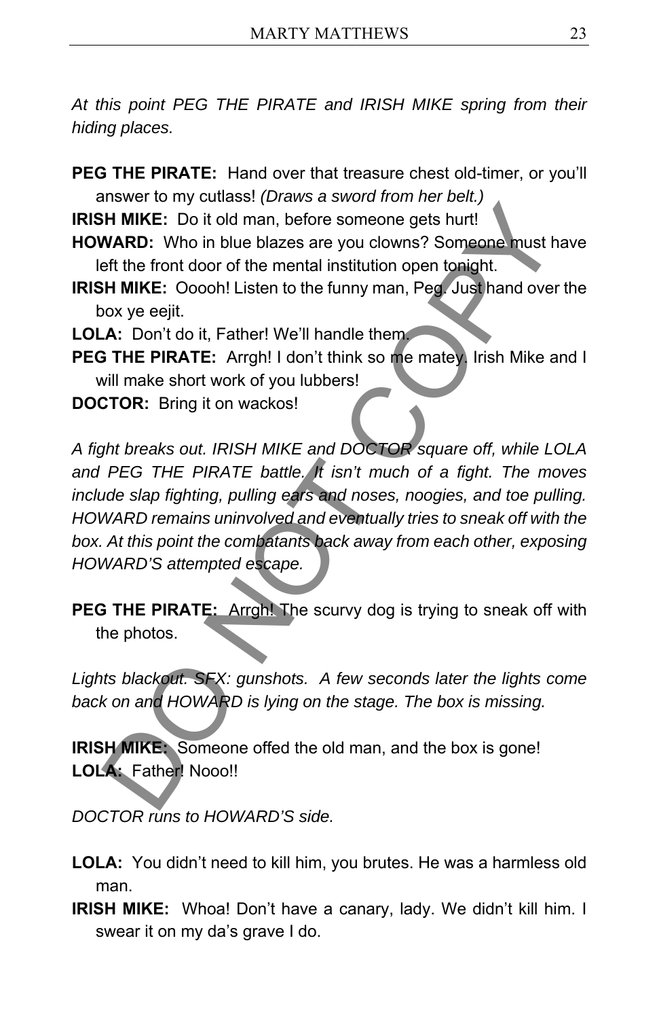*At this point PEG THE PIRATE and IRISH MIKE spring from their hiding places.* 

**PEG THE PIRATE:** Hand over that treasure chest old-timer, or you'll answer to my cutlass! *(Draws a sword from her belt.)* 

**IRISH MIKE:** Do it old man, before someone gets hurt!

- **HOWARD:** Who in blue blazes are you clowns? Someone must have left the front door of the mental institution open tonight.
- **IRISH MIKE:** Ooooh! Listen to the funny man, Peg. Just hand over the box ye eejit.

LOLA: Don't do it, Father! We'll handle them.

- **PEG THE PIRATE:** Arrgh! I don't think so me matey. Irish Mike and I will make short work of you lubbers!
- **DOCTOR:** Bring it on wackos!

*A fight breaks out. IRISH MIKE and DOCTOR square off, while LOLA and PEG THE PIRATE battle. It isn't much of a fight. The moves include slap fighting, pulling ears and noses, noogies, and toe pulling. HOWARD remains uninvolved and eventually tries to sneak off with the box. At this point the combatants back away from each other, exposing HOWARD'S attempted escape.*  H. MIKE: Do it old man, before someone gets hurt!<br>
H. MIKE: Do it old man, before someone gets hurt!<br>
WARD: Who in blue blazes are you clowns? Someone must he<br>
fit the front door of the mental institution open tonight.<br>
H.

**PEG THE PIRATE:** Arrgh! The scurvy dog is trying to sneak off with the photos.

Lights blackout. SFX: gunshots. A few seconds later the lights come *back on and HOWARD is lying on the stage. The box is missing.* 

**IRISH MIKE:** Someone offed the old man, and the box is gone! **LOLA:** Father! Nooo!!

*DOCTOR runs to HOWARD'S side.* 

- **LOLA:** You didn't need to kill him, you brutes. He was a harmless old man.
- **IRISH MIKE:** Whoa! Don't have a canary, lady. We didn't kill him. I swear it on my da's grave I do.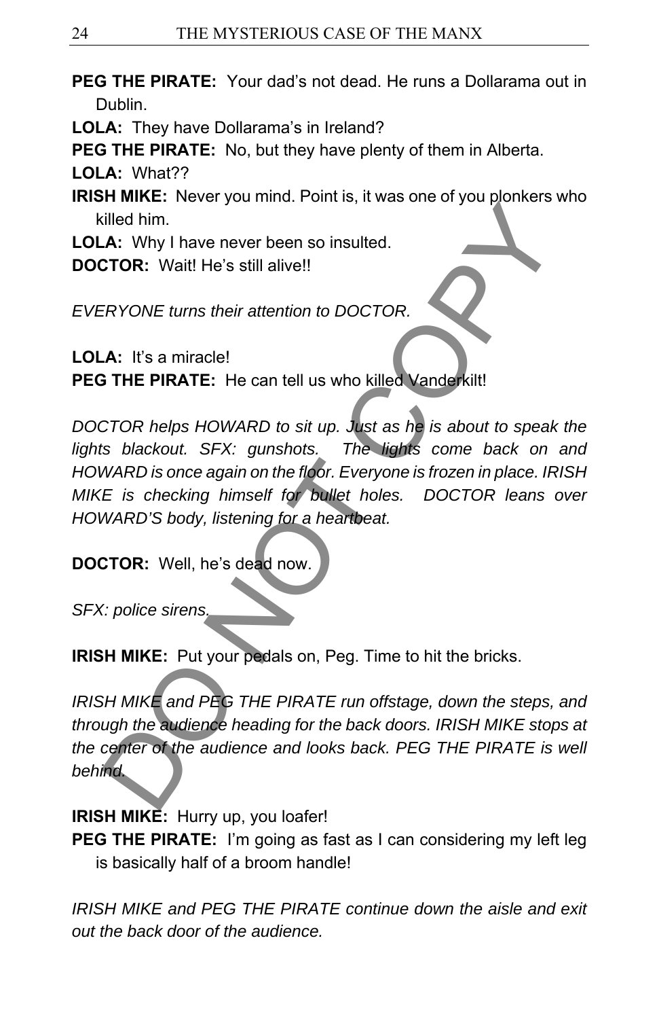- **PEG THE PIRATE:** Your dad's not dead. He runs a Dollarama out in Dublin.
- **LOLA:** They have Dollarama's in Ireland?

**PEG THE PIRATE:** No, but they have plenty of them in Alberta.

**LOLA:** What??

- **IRISH MIKE:** Never you mind. Point is, it was one of you plonkers who killed him.
- **LOLA:** Why I have never been so insulted.
- **DOCTOR:** Wait! He's still alive!!

*EVERYONE turns their attention to DOCTOR.* 

LOLA: It's a miracle! **PEG THE PIRATE:** He can tell us who killed Vanderkilt!

*DOCTOR helps HOWARD to sit up. Just as he is about to speak the lights blackout. SFX: gunshots. The lights come back on and HOWARD is once again on the floor. Everyone is frozen in place. IRISH MIKE is checking himself for bullet holes. DOCTOR leans over HOWARD'S body, listening for a heartbeat.*  France The Pitch and PEG THE PIRATE run offstage, down the steps<br>
Ulled him.<br>
TOR: Wait! He's still alive!!<br>
ERYONE turns their attention to DOCTOR.<br>
A: It's a miracle!<br>
THE PIRATE: He can tell us who killed Vanderkilt!<br>
C

**DOCTOR:** Well, he's dead now.

*SFX: police sirens.* 

**IRISH MIKE:** Put your pedals on, Peg. Time to hit the bricks.

*IRISH MIKE and PEG THE PIRATE run offstage, down the steps, and through the audience heading for the back doors. IRISH MIKE stops at*  the center of the audience and looks back. PEG THE PIRATE is well *behind.* 

**IRISH MIKE:** Hurry up, you loafer!

**PEG THE PIRATE:** I'm going as fast as I can considering my left leg is basically half of a broom handle!

*IRISH MIKE and PEG THE PIRATE continue down the aisle and exit out the back door of the audience.*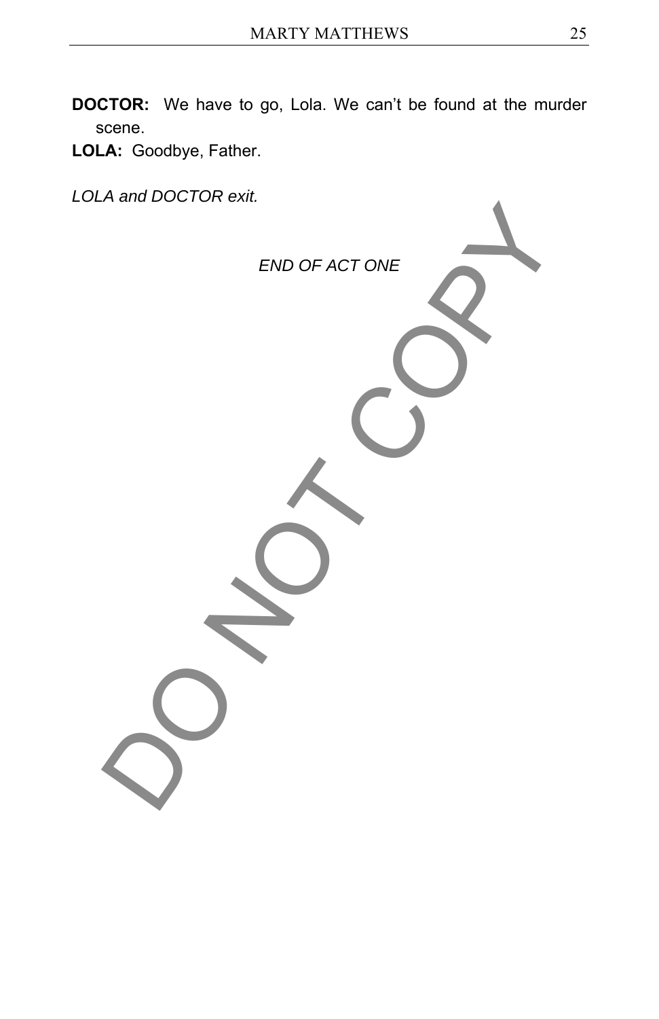- **DOCTOR:** We have to go, Lola. We can't be found at the murder scene.
- **LOLA:** Goodbye, Father.

*LOLA and DOCTOR exit.* 

*END OF ACT ONE*  END OF ACTONE